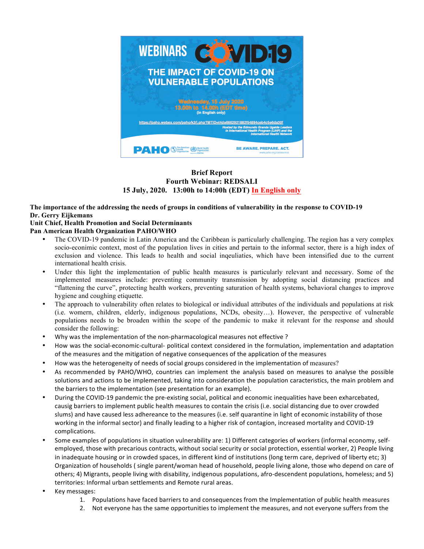

# **Brief Report Fourth Webinar: REDSALI 15 July, 2020. 13:00h to 14:00h (EDT) In English only**

#### **The importance of the addressing the needs of groups in conditions of vulnerability in the response to COVID-19 Dr. Gerry Eijkemans Unit Chief, Health Promotion and Social Determinants**

# **Pan American Health Organization PAHO/WHO**

- The COVID-19 pandemic in Latin America and the Caribbean is particularly challenging. The region has a very complex socio-econimic context, most of the population lives in cities and pertain to the informal sector, there is a high index of exclusion and violence. This leads to health and social inqeuliaties, which have been intensified due to the current international health crisis.
- Under this light the implementation of public health measures is particularly relevant and necessary. Some of the implemented measures include: preventing community transmission by adopting social distancing practices and "flattening the curve", protecting health workers, preventing saturation of health systems, behavioral changes to improve hygiene and coughing etiquette.
- The approach to vulnerability often relates to biological or individual attributes of the individuals and populations at risk (i.e. womern, children, elderly, indigenous populations, NCDs, obesity…). However, the perspective of vulnerable populations needs to be broaden within the scope of the pandemic to make it relevant for the response and should consider the following:
- Why was the implementation of the non-pharmacological measures not effective?
- How was the social-economic-cultural- political context considered in the formulation, implementation and adaptation of the measures and the mitigation of negative consequences of the application of the measures
- How was the heterogeneity of needs of social groups considered in the implementation of measures?
- As recommended by PAHO/WHO, countries can implement the analysis based on measures to analyse the possible solutions and actions to be implemented, taking into consideration the population caracteristics, the main problem and the barriers to the implementation (see presentation for an example).
- During the COVID-19 pandemic the pre-existing social, political and economic inequalities have been exharcebated, causig barriers to implement public health measures to contain the crisis (i.e. social distancing due to over crowded slums) and have caused less adhereance to the measures (i.e. self quarantine in light of economic instability of those working in the informal sector) and finally leading to a higher risk of contagion, increased mortality and COVID-19 complications.
- Some examples of populations in situation vulnerability are: 1) Different categories of workers (informal economy, selfemployed, those with precarious contracts, without social security or social protection, essential worker, 2) People living in inadequate housing or in crowded spaces, in different kind of institutions (long term care, deprived of liberty etc; 3) Organization of households ( single parent/woman head of household, people living alone, those who depend on care of others; 4) Migrants, people living with disability, indigenous populations, afro-descendent populations, homeless; and 5) territories: Informal urban settlements and Remote rural areas.
- Key messages:
	- 1. Populations have faced barriers to and consequences from the Implementation of public health measures
	- 2. Not everyone has the same opportunities to implement the measures, and not everyone suffers from the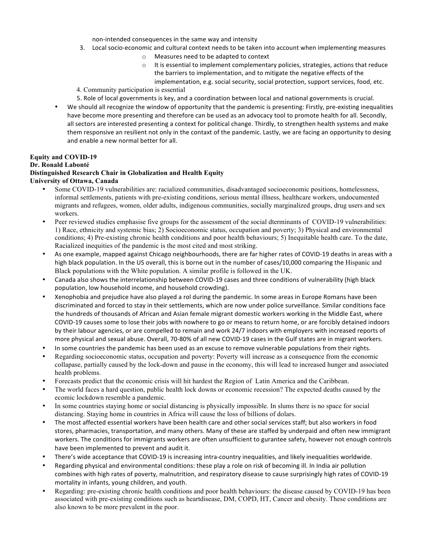non-intended consequences in the same way and intensity

- 3. Local socio-economic and cultural context needs to be taken into account when implementing measures
	- o Measures need to be adapted to context
	- $\circ$  It is essential to implement complementary policies, strategies, actions that reduce the barriers to implementation, and to mitigate the negative effects of the implementation, e.g. social security, social protection, support services, food, etc.
- 4. Community participation is essential
- 5. Role of local governments is key, and a coordination between local and national governments is crucial.
- We should all recognize the window of opportunity that the pandemic is presenting: Firstly, pre-existing inequalities have become more presenting and therefore can be used as an advocacy tool to promote health for all. Secondly, all sectors are interested presenting a context for political change. Thirdly, to strengthen health systems and make them responsive an resilient not only in the contaxt of the pandemic. Lastly, we are facing an opportunity to desing and enable a new normal better for all.

## **Equity and COVID-19**

## **Dr. Ronald Labonté**

#### **Distinguished Research Chair in Globalization and Health Equity University of Ottawa, Canada**

- Some COVID-19 vulnerabilities are: racialized communities, disadvantaged socioeconomic positions, homelessness, informal settlements, patients with pre-existing conditions, serious mental illness, healthcare workers, undocumented migrants and refugees, women, older adults, indigenous communities, socially marginalized groups, drug users and sex workers.
- Peer reviewed studies emphasise five groups for the assessment of the social dterminants of COVID-19 vulnerabilities: 1) Race, ethnicity and systemic bias; 2) Socioeconomic status, occupation and poverty; 3) Physical and environmental conditions; 4) Pre-existing chronic health conditions and poor health behaviours; 5) Inequitable health care. To the date, Racialized inequities of the pandemic is the most cited and most striking.
- As one example, mapped against Chicago neighbourhoods, there are far higher rates of COVID-19 deaths in areas with a high black population. In the US overall, this is borne out in the number of cases/10,000 comparing the Hispanic and Black populations with the White population. A similar profile is followed in the UK.
- Canada also shows the interrelationship between COVID-19 cases and three conditions of vulnerability (high black population, low household income, and household crowding).
- Xenophobia and prejudice have also played a rol during the pandemic. In some areas in Europe Romans have been discriminated and forced to stay in their settlements, which are now under police surveillance. Similar conditions face the hundreds of thousands of African and Asian female migrant domestic workers working in the Middle East, where COVID-19 causes some to lose their jobs with nowhere to go or means to return home, or are forcibly detained indoors by their labour agencies, or are compelled to remain and work 24/7 indoors with employers with increased reports of more physical and sexual abuse. Overall, 70-80% of all new COVID-19 cases in the Gulf states are in migrant workers.
- In some countries the pandemic has been used as an excuse to remove vulnerable populations from their rights.
- Regarding socioeconomic status, occupation and poverty: Poverty will increase as a consequence from the economic collapase, partially caused by the lock-down and pause in the economy, this will lead to increased hunger and associated health problems.
- Forecasts predict that the economic crisis will hit hardest the Region of Latin America and the Caribbean.
- The world faces a hard question, public health lock downs or economic recession? The expected deaths caused by the ecomic lockdown resemble a pandemic.
- In some countries staying home or social distancing is physically impossible. In slums there is no space for social distancing. Staying home in countries in Africa will cause the loss of billions of dolars.
- The most affected essential workers have been health care and other social services staff; but also workers in food stores, pharmacies, transportation, and many others. Many of these are staffed by underpaid and often new immigrant workers. The conditions for immigrants workers are often unsufficient to gurantee safety, however not enough controls have been implemented to prevent and audit it.
- There's wide acceptance that COVID-19 is increasing intra-country inequalities, and likely inequalities worldwide.
- Regarding physical and environmental conditions: these play a role on risk of becoming ill. In India air pollution combines with high rates of poverty, malnutrition, and respiratory disease to cause surprisingly high rates of COVID-19 mortality in infants, young children, and youth.
- Regarding: pre-existing chronic health conditions and poor health behaviours: the disease caused by COVID-19 has been associated with pre-existing conditions such as heartdisease, DM, COPD, HT, Cancer and obesity. These conditions are also known to be more prevalent in the poor.